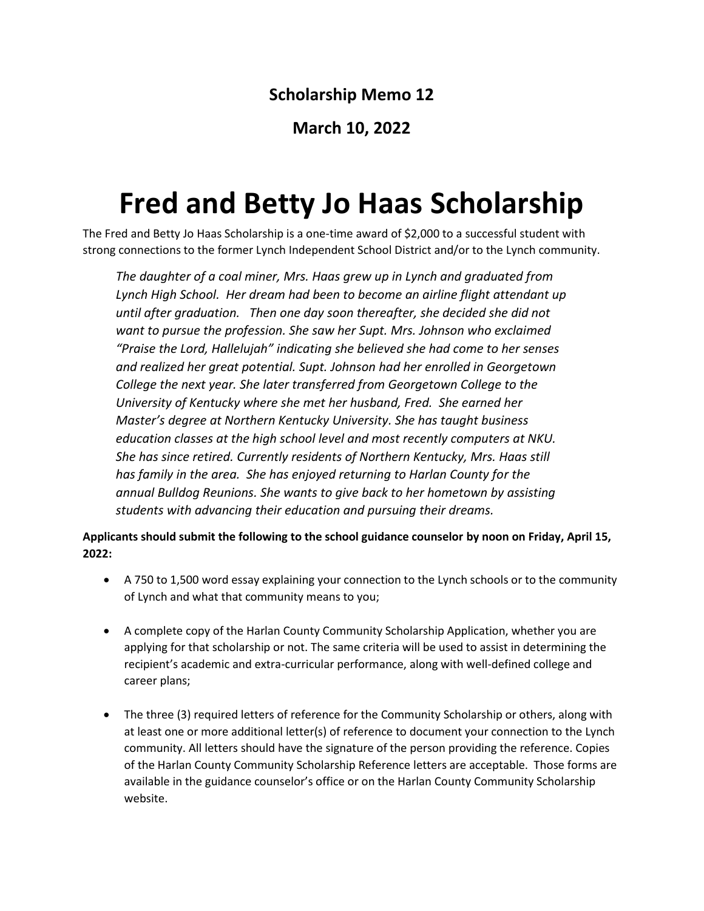## **Scholarship Memo 12**

## **March 10, 2022**

## **Fred and Betty Jo Haas Scholarship**

The Fred and Betty Jo Haas Scholarship is a one-time award of \$2,000 to a successful student with strong connections to the former Lynch Independent School District and/or to the Lynch community.

*The daughter of a coal miner, Mrs. Haas grew up in Lynch and graduated from Lynch High School. Her dream had been to become an airline flight attendant up until after graduation. Then one day soon thereafter, she decided she did not want to pursue the profession. She saw her Supt. Mrs. Johnson who exclaimed "Praise the Lord, Hallelujah" indicating she believed she had come to her senses and realized her great potential. Supt. Johnson had her enrolled in Georgetown College the next year. She later transferred from Georgetown College to the University of Kentucky where she met her husband, Fred. She earned her Master's degree at Northern Kentucky University. She has taught business education classes at the high school level and most recently computers at NKU. She has since retired. Currently residents of Northern Kentucky, Mrs. Haas still has family in the area. She has enjoyed returning to Harlan County for the annual Bulldog Reunions. She wants to give back to her hometown by assisting students with advancing their education and pursuing their dreams.* 

**Applicants should submit the following to the school guidance counselor by noon on Friday, April 15, 2022:** 

- A 750 to 1,500 word essay explaining your connection to the Lynch schools or to the community of Lynch and what that community means to you;
- A complete copy of the Harlan County Community Scholarship Application, whether you are applying for that scholarship or not. The same criteria will be used to assist in determining the recipient's academic and extra-curricular performance, along with well-defined college and career plans;
- The three (3) required letters of reference for the Community Scholarship or others, along with at least one or more additional letter(s) of reference to document your connection to the Lynch community. All letters should have the signature of the person providing the reference. Copies of the Harlan County Community Scholarship Reference letters are acceptable. Those forms are available in the guidance counselor's office or on the Harlan County Community Scholarship website.